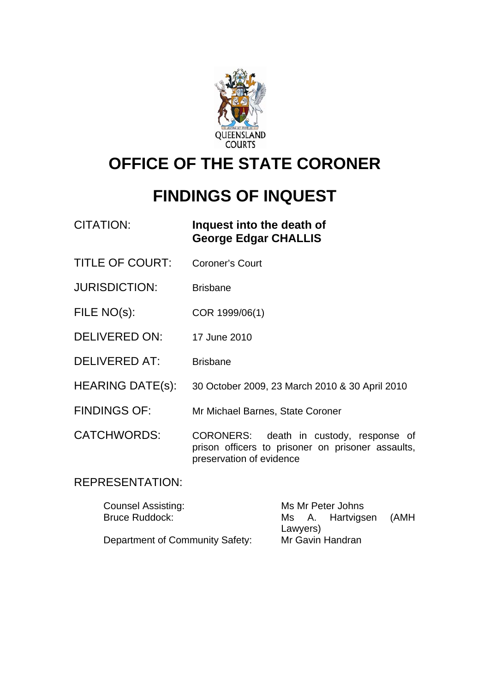

# **OFFICE OF THE STATE CORONER**

# **FINDINGS OF INQUEST**

| Inquest into the death of   |
|-----------------------------|
| <b>George Edgar CHALLIS</b> |
|                             |

- TITLE OF COURT: Coroner's Court
- JURISDICTION: Brisbane
- FILE NO(s): COR 1999/06(1)
- DELIVERED ON: 17 June 2010
- DELIVERED AT: Brisbane
- HEARING DATE(s): 30 October 2009, 23 March 2010 & 30 April 2010
- FINDINGS OF: Mr Michael Barnes, State Coroner

CATCHWORDS: CORONERS: death in custody, response of prison officers to prisoner on prisoner assaults, preservation of evidence

## REPRESENTATION:

| <b>Counsel Assisting:</b>       | Ms Mr Peter Johns |  |                  |      |
|---------------------------------|-------------------|--|------------------|------|
| <b>Bruce Ruddock:</b>           |                   |  | Ms A. Hartvigsen | (AMH |
|                                 | Lawyers)          |  |                  |      |
| Department of Community Safety: | Mr Gavin Handran  |  |                  |      |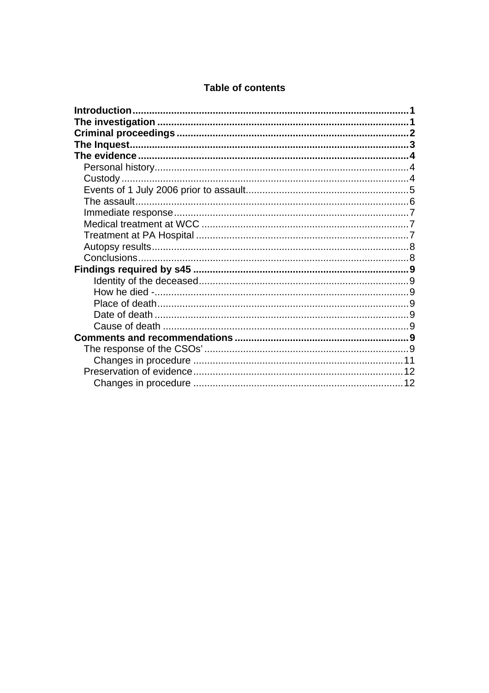#### **Table of contents**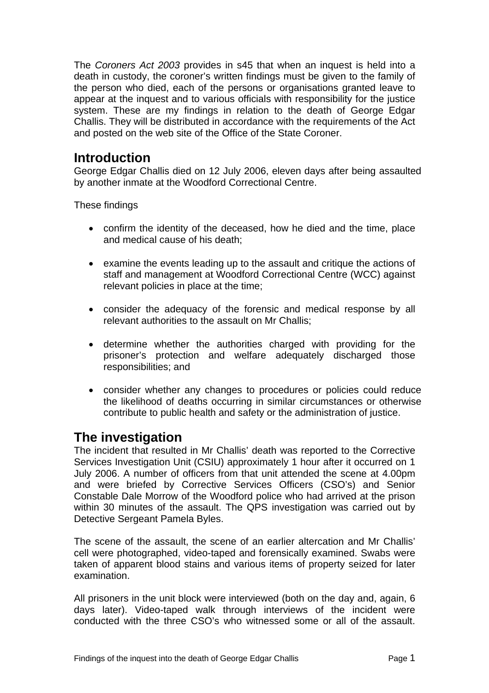<span id="page-2-0"></span>The *Coroners Act 2003* provides in s45 that when an inquest is held into a death in custody, the coroner's written findings must be given to the family of the person who died, each of the persons or organisations granted leave to appear at the inquest and to various officials with responsibility for the justice system. These are my findings in relation to the death of George Edgar Challis. They will be distributed in accordance with the requirements of the Act and posted on the web site of the Office of the State Coroner.

# **Introduction**

George Edgar Challis died on 12 July 2006, eleven days after being assaulted by another inmate at the Woodford Correctional Centre.

These findings

- confirm the identity of the deceased, how he died and the time, place and medical cause of his death;
- examine the events leading up to the assault and critique the actions of staff and management at Woodford Correctional Centre (WCC) against relevant policies in place at the time;
- consider the adequacy of the forensic and medical response by all relevant authorities to the assault on Mr Challis;
- determine whether the authorities charged with providing for the prisoner's protection and welfare adequately discharged those responsibilities; and
- consider whether any changes to procedures or policies could reduce the likelihood of deaths occurring in similar circumstances or otherwise contribute to public health and safety or the administration of justice.

# **The investigation**

The incident that resulted in Mr Challis' death was reported to the Corrective Services Investigation Unit (CSIU) approximately 1 hour after it occurred on 1 July 2006. A number of officers from that unit attended the scene at 4.00pm and were briefed by Corrective Services Officers (CSO's) and Senior Constable Dale Morrow of the Woodford police who had arrived at the prison within 30 minutes of the assault. The QPS investigation was carried out by Detective Sergeant Pamela Byles.

The scene of the assault, the scene of an earlier altercation and Mr Challis' cell were photographed, video-taped and forensically examined. Swabs were taken of apparent blood stains and various items of property seized for later examination.

All prisoners in the unit block were interviewed (both on the day and, again, 6 days later). Video-taped walk through interviews of the incident were conducted with the three CSO's who witnessed some or all of the assault.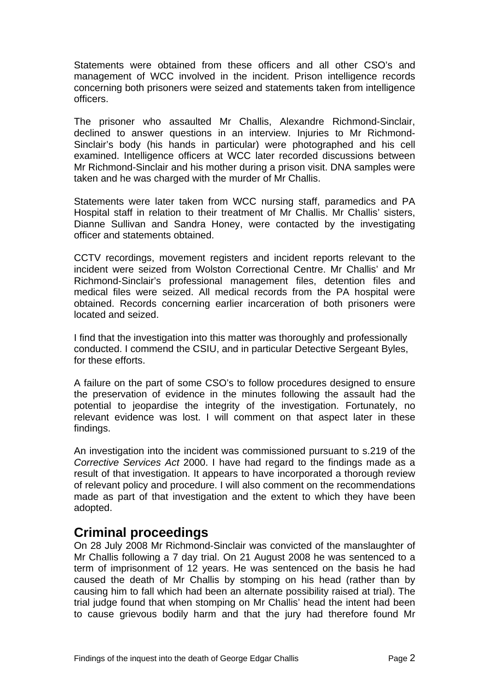<span id="page-3-0"></span>Statements were obtained from these officers and all other CSO's and management of WCC involved in the incident. Prison intelligence records concerning both prisoners were seized and statements taken from intelligence officers.

The prisoner who assaulted Mr Challis, Alexandre Richmond-Sinclair, declined to answer questions in an interview. Injuries to Mr Richmond-Sinclair's body (his hands in particular) were photographed and his cell examined. Intelligence officers at WCC later recorded discussions between Mr Richmond-Sinclair and his mother during a prison visit. DNA samples were taken and he was charged with the murder of Mr Challis.

Statements were later taken from WCC nursing staff, paramedics and PA Hospital staff in relation to their treatment of Mr Challis. Mr Challis' sisters, Dianne Sullivan and Sandra Honey, were contacted by the investigating officer and statements obtained.

CCTV recordings, movement registers and incident reports relevant to the incident were seized from Wolston Correctional Centre. Mr Challis' and Mr Richmond-Sinclair's professional management files, detention files and medical files were seized. All medical records from the PA hospital were obtained. Records concerning earlier incarceration of both prisoners were located and seized.

I find that the investigation into this matter was thoroughly and professionally conducted. I commend the CSIU, and in particular Detective Sergeant Byles, for these efforts.

A failure on the part of some CSO's to follow procedures designed to ensure the preservation of evidence in the minutes following the assault had the potential to jeopardise the integrity of the investigation. Fortunately, no relevant evidence was lost. I will comment on that aspect later in these findings.

An investigation into the incident was commissioned pursuant to s.219 of the *Corrective Services Act* 2000. I have had regard to the findings made as a result of that investigation. It appears to have incorporated a thorough review of relevant policy and procedure. I will also comment on the recommendations made as part of that investigation and the extent to which they have been adopted.

## **Criminal proceedings**

On 28 July 2008 Mr Richmond-Sinclair was convicted of the manslaughter of Mr Challis following a 7 day trial. On 21 August 2008 he was sentenced to a term of imprisonment of 12 years. He was sentenced on the basis he had caused the death of Mr Challis by stomping on his head (rather than by causing him to fall which had been an alternate possibility raised at trial). The trial judge found that when stomping on Mr Challis' head the intent had been to cause grievous bodily harm and that the jury had therefore found Mr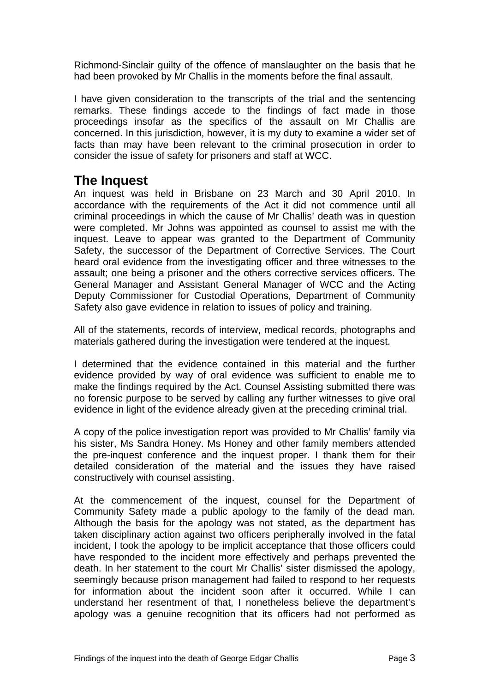<span id="page-4-0"></span>Richmond-Sinclair guilty of the offence of manslaughter on the basis that he had been provoked by Mr Challis in the moments before the final assault.

I have given consideration to the transcripts of the trial and the sentencing remarks. These findings accede to the findings of fact made in those proceedings insofar as the specifics of the assault on Mr Challis are concerned. In this jurisdiction, however, it is my duty to examine a wider set of facts than may have been relevant to the criminal prosecution in order to consider the issue of safety for prisoners and staff at WCC.

# **The Inquest**

An inquest was held in Brisbane on 23 March and 30 April 2010. In accordance with the requirements of the Act it did not commence until all criminal proceedings in which the cause of Mr Challis' death was in question were completed. Mr Johns was appointed as counsel to assist me with the inquest. Leave to appear was granted to the Department of Community Safety, the successor of the Department of Corrective Services. The Court heard oral evidence from the investigating officer and three witnesses to the assault; one being a prisoner and the others corrective services officers. The General Manager and Assistant General Manager of WCC and the Acting Deputy Commissioner for Custodial Operations, Department of Community Safety also gave evidence in relation to issues of policy and training.

All of the statements, records of interview, medical records, photographs and materials gathered during the investigation were tendered at the inquest.

I determined that the evidence contained in this material and the further evidence provided by way of oral evidence was sufficient to enable me to make the findings required by the Act. Counsel Assisting submitted there was no forensic purpose to be served by calling any further witnesses to give oral evidence in light of the evidence already given at the preceding criminal trial.

A copy of the police investigation report was provided to Mr Challis' family via his sister, Ms Sandra Honey. Ms Honey and other family members attended the pre-inquest conference and the inquest proper. I thank them for their detailed consideration of the material and the issues they have raised constructively with counsel assisting.

At the commencement of the inquest, counsel for the Department of Community Safety made a public apology to the family of the dead man. Although the basis for the apology was not stated, as the department has taken disciplinary action against two officers peripherally involved in the fatal incident, I took the apology to be implicit acceptance that those officers could have responded to the incident more effectively and perhaps prevented the death. In her statement to the court Mr Challis' sister dismissed the apology, seemingly because prison management had failed to respond to her requests for information about the incident soon after it occurred. While I can understand her resentment of that, I nonetheless believe the department's apology was a genuine recognition that its officers had not performed as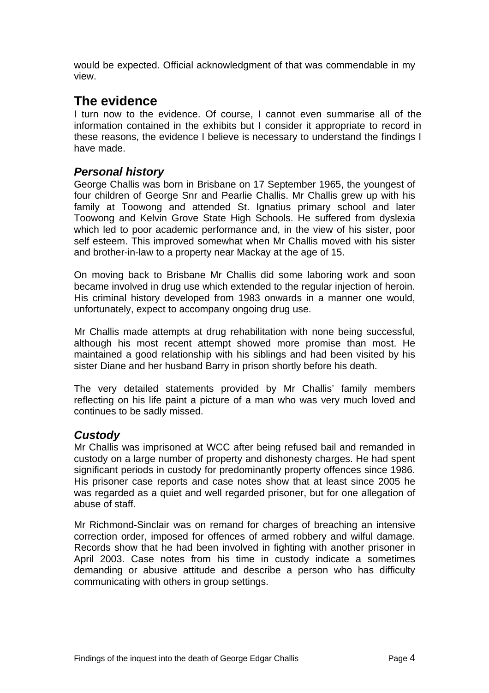<span id="page-5-0"></span>would be expected. Official acknowledgment of that was commendable in my view.

## **The evidence**

I turn now to the evidence. Of course, I cannot even summarise all of the information contained in the exhibits but I consider it appropriate to record in these reasons, the evidence I believe is necessary to understand the findings I have made.

#### *Personal history*

George Challis was born in Brisbane on 17 September 1965, the youngest of four children of George Snr and Pearlie Challis. Mr Challis grew up with his family at Toowong and attended St. Ignatius primary school and later Toowong and Kelvin Grove State High Schools. He suffered from dyslexia which led to poor academic performance and, in the view of his sister, poor self esteem. This improved somewhat when Mr Challis moved with his sister and brother-in-law to a property near Mackay at the age of 15.

On moving back to Brisbane Mr Challis did some laboring work and soon became involved in drug use which extended to the regular injection of heroin. His criminal history developed from 1983 onwards in a manner one would, unfortunately, expect to accompany ongoing drug use.

Mr Challis made attempts at drug rehabilitation with none being successful, although his most recent attempt showed more promise than most. He maintained a good relationship with his siblings and had been visited by his sister Diane and her husband Barry in prison shortly before his death.

The very detailed statements provided by Mr Challis' family members reflecting on his life paint a picture of a man who was very much loved and continues to be sadly missed.

## *Custody*

Mr Challis was imprisoned at WCC after being refused bail and remanded in custody on a large number of property and dishonesty charges. He had spent significant periods in custody for predominantly property offences since 1986. His prisoner case reports and case notes show that at least since 2005 he was regarded as a quiet and well regarded prisoner, but for one allegation of abuse of staff.

Mr Richmond-Sinclair was on remand for charges of breaching an intensive correction order, imposed for offences of armed robbery and wilful damage. Records show that he had been involved in fighting with another prisoner in April 2003. Case notes from his time in custody indicate a sometimes demanding or abusive attitude and describe a person who has difficulty communicating with others in group settings.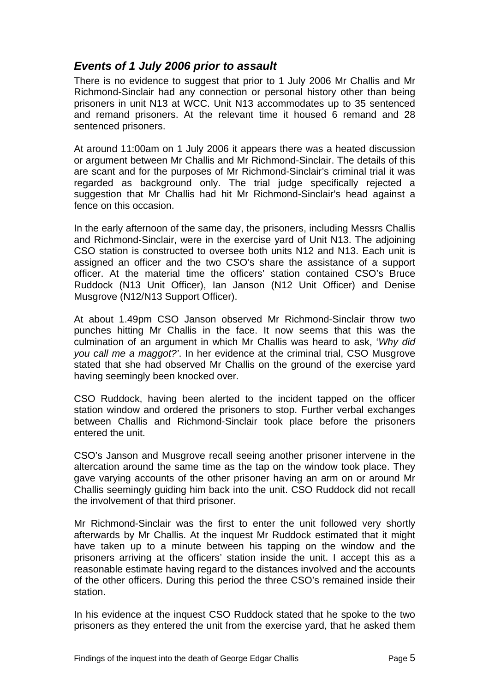## <span id="page-6-0"></span>*Events of 1 July 2006 prior to assault*

There is no evidence to suggest that prior to 1 July 2006 Mr Challis and Mr Richmond-Sinclair had any connection or personal history other than being prisoners in unit N13 at WCC. Unit N13 accommodates up to 35 sentenced and remand prisoners. At the relevant time it housed 6 remand and 28 sentenced prisoners.

At around 11:00am on 1 July 2006 it appears there was a heated discussion or argument between Mr Challis and Mr Richmond-Sinclair. The details of this are scant and for the purposes of Mr Richmond-Sinclair's criminal trial it was regarded as background only. The trial judge specifically rejected a suggestion that Mr Challis had hit Mr Richmond-Sinclair's head against a fence on this occasion.

In the early afternoon of the same day, the prisoners, including Messrs Challis and Richmond-Sinclair, were in the exercise yard of Unit N13. The adjoining CSO station is constructed to oversee both units N12 and N13. Each unit is assigned an officer and the two CSO's share the assistance of a support officer. At the material time the officers' station contained CSO's Bruce Ruddock (N13 Unit Officer), Ian Janson (N12 Unit Officer) and Denise Musgrove (N12/N13 Support Officer).

At about 1.49pm CSO Janson observed Mr Richmond-Sinclair throw two punches hitting Mr Challis in the face. It now seems that this was the culmination of an argument in which Mr Challis was heard to ask, '*Why did you call me a maggot?'*. In her evidence at the criminal trial, CSO Musgrove stated that she had observed Mr Challis on the ground of the exercise yard having seemingly been knocked over.

CSO Ruddock, having been alerted to the incident tapped on the officer station window and ordered the prisoners to stop. Further verbal exchanges between Challis and Richmond-Sinclair took place before the prisoners entered the unit.

CSO's Janson and Musgrove recall seeing another prisoner intervene in the altercation around the same time as the tap on the window took place. They gave varying accounts of the other prisoner having an arm on or around Mr Challis seemingly guiding him back into the unit. CSO Ruddock did not recall the involvement of that third prisoner.

Mr Richmond-Sinclair was the first to enter the unit followed very shortly afterwards by Mr Challis. At the inquest Mr Ruddock estimated that it might have taken up to a minute between his tapping on the window and the prisoners arriving at the officers' station inside the unit. I accept this as a reasonable estimate having regard to the distances involved and the accounts of the other officers. During this period the three CSO's remained inside their station.

In his evidence at the inquest CSO Ruddock stated that he spoke to the two prisoners as they entered the unit from the exercise yard, that he asked them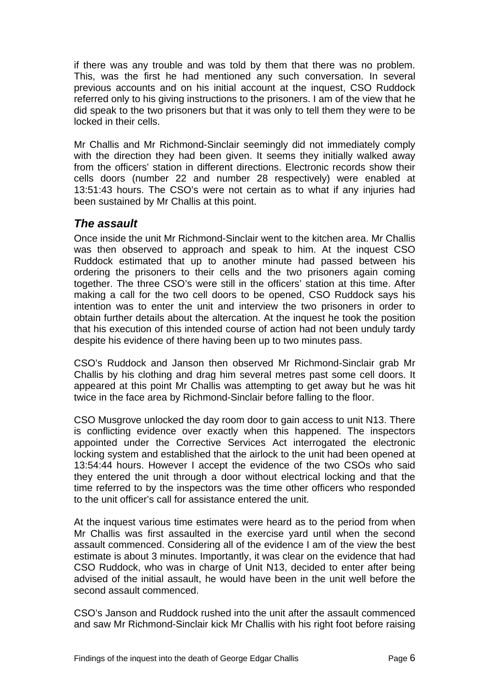<span id="page-7-0"></span>if there was any trouble and was told by them that there was no problem. This, was the first he had mentioned any such conversation. In several previous accounts and on his initial account at the inquest, CSO Ruddock referred only to his giving instructions to the prisoners. I am of the view that he did speak to the two prisoners but that it was only to tell them they were to be locked in their cells.

Mr Challis and Mr Richmond-Sinclair seemingly did not immediately comply with the direction they had been given. It seems they initially walked away from the officers' station in different directions. Electronic records show their cells doors (number 22 and number 28 respectively) were enabled at 13:51:43 hours. The CSO's were not certain as to what if any injuries had been sustained by Mr Challis at this point.

## *The assault*

Once inside the unit Mr Richmond-Sinclair went to the kitchen area. Mr Challis was then observed to approach and speak to him. At the inquest CSO Ruddock estimated that up to another minute had passed between his ordering the prisoners to their cells and the two prisoners again coming together. The three CSO's were still in the officers' station at this time. After making a call for the two cell doors to be opened, CSO Ruddock says his intention was to enter the unit and interview the two prisoners in order to obtain further details about the altercation. At the inquest he took the position that his execution of this intended course of action had not been unduly tardy despite his evidence of there having been up to two minutes pass.

CSO's Ruddock and Janson then observed Mr Richmond-Sinclair grab Mr Challis by his clothing and drag him several metres past some cell doors. It appeared at this point Mr Challis was attempting to get away but he was hit twice in the face area by Richmond-Sinclair before falling to the floor.

CSO Musgrove unlocked the day room door to gain access to unit N13. There is conflicting evidence over exactly when this happened. The inspectors appointed under the Corrective Services Act interrogated the electronic locking system and established that the airlock to the unit had been opened at 13:54:44 hours. However I accept the evidence of the two CSOs who said they entered the unit through a door without electrical locking and that the time referred to by the inspectors was the time other officers who responded to the unit officer's call for assistance entered the unit.

At the inquest various time estimates were heard as to the period from when Mr Challis was first assaulted in the exercise yard until when the second assault commenced. Considering all of the evidence I am of the view the best estimate is about 3 minutes. Importantly, it was clear on the evidence that had CSO Ruddock, who was in charge of Unit N13, decided to enter after being advised of the initial assault, he would have been in the unit well before the second assault commenced.

CSO's Janson and Ruddock rushed into the unit after the assault commenced and saw Mr Richmond-Sinclair kick Mr Challis with his right foot before raising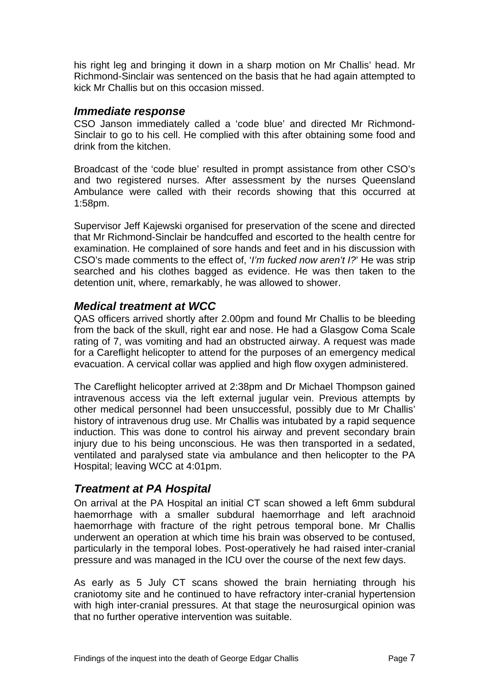<span id="page-8-0"></span>his right leg and bringing it down in a sharp motion on Mr Challis' head. Mr Richmond-Sinclair was sentenced on the basis that he had again attempted to kick Mr Challis but on this occasion missed.

#### *Immediate response*

CSO Janson immediately called a 'code blue' and directed Mr Richmond-Sinclair to go to his cell. He complied with this after obtaining some food and drink from the kitchen.

Broadcast of the 'code blue' resulted in prompt assistance from other CSO's and two registered nurses. After assessment by the nurses Queensland Ambulance were called with their records showing that this occurred at 1:58pm.

Supervisor Jeff Kajewski organised for preservation of the scene and directed that Mr Richmond-Sinclair be handcuffed and escorted to the health centre for examination. He complained of sore hands and feet and in his discussion with CSO's made comments to the effect of, '*I'm fucked now aren't I?*' He was strip searched and his clothes bagged as evidence. He was then taken to the detention unit, where, remarkably, he was allowed to shower.

#### *Medical treatment at WCC*

QAS officers arrived shortly after 2.00pm and found Mr Challis to be bleeding from the back of the skull, right ear and nose. He had a Glasgow Coma Scale rating of 7, was vomiting and had an obstructed airway. A request was made for a Careflight helicopter to attend for the purposes of an emergency medical evacuation. A cervical collar was applied and high flow oxygen administered.

The Careflight helicopter arrived at 2:38pm and Dr Michael Thompson gained intravenous access via the left external jugular vein. Previous attempts by other medical personnel had been unsuccessful, possibly due to Mr Challis' history of intravenous drug use. Mr Challis was intubated by a rapid sequence induction. This was done to control his airway and prevent secondary brain injury due to his being unconscious. He was then transported in a sedated, ventilated and paralysed state via ambulance and then helicopter to the PA Hospital; leaving WCC at 4:01pm.

## *Treatment at PA Hospital*

On arrival at the PA Hospital an initial CT scan showed a left 6mm subdural haemorrhage with a smaller subdural haemorrhage and left arachnoid haemorrhage with fracture of the right petrous temporal bone. Mr Challis underwent an operation at which time his brain was observed to be contused, particularly in the temporal lobes. Post-operatively he had raised inter-cranial pressure and was managed in the ICU over the course of the next few days.

As early as 5 July CT scans showed the brain herniating through his craniotomy site and he continued to have refractory inter-cranial hypertension with high inter-cranial pressures. At that stage the neurosurgical opinion was that no further operative intervention was suitable.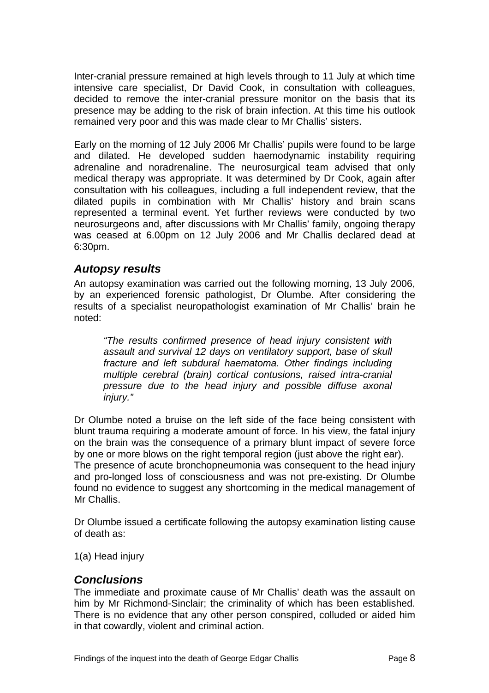<span id="page-9-0"></span>Inter-cranial pressure remained at high levels through to 11 July at which time intensive care specialist, Dr David Cook, in consultation with colleagues, decided to remove the inter-cranial pressure monitor on the basis that its presence may be adding to the risk of brain infection. At this time his outlook remained very poor and this was made clear to Mr Challis' sisters.

Early on the morning of 12 July 2006 Mr Challis' pupils were found to be large and dilated. He developed sudden haemodynamic instability requiring adrenaline and noradrenaline. The neurosurgical team advised that only medical therapy was appropriate. It was determined by Dr Cook, again after consultation with his colleagues, including a full independent review, that the dilated pupils in combination with Mr Challis' history and brain scans represented a terminal event. Yet further reviews were conducted by two neurosurgeons and, after discussions with Mr Challis' family, ongoing therapy was ceased at 6.00pm on 12 July 2006 and Mr Challis declared dead at 6:30pm.

#### *Autopsy results*

An autopsy examination was carried out the following morning, 13 July 2006, by an experienced forensic pathologist, Dr Olumbe. After considering the results of a specialist neuropathologist examination of Mr Challis' brain he noted:

*"The results confirmed presence of head injury consistent with assault and survival 12 days on ventilatory support, base of skull fracture and left subdural haematoma. Other findings including multiple cerebral (brain) cortical contusions, raised intra-cranial pressure due to the head injury and possible diffuse axonal injury."* 

Dr Olumbe noted a bruise on the left side of the face being consistent with blunt trauma requiring a moderate amount of force. In his view, the fatal injury on the brain was the consequence of a primary blunt impact of severe force by one or more blows on the right temporal region (just above the right ear). The presence of acute bronchopneumonia was consequent to the head injury and pro-longed loss of consciousness and was not pre-existing. Dr Olumbe found no evidence to suggest any shortcoming in the medical management of Mr Challis.

Dr Olumbe issued a certificate following the autopsy examination listing cause of death as:

1(a) Head injury

#### *Conclusions*

The immediate and proximate cause of Mr Challis' death was the assault on him by Mr Richmond-Sinclair; the criminality of which has been established. There is no evidence that any other person conspired, colluded or aided him in that cowardly, violent and criminal action.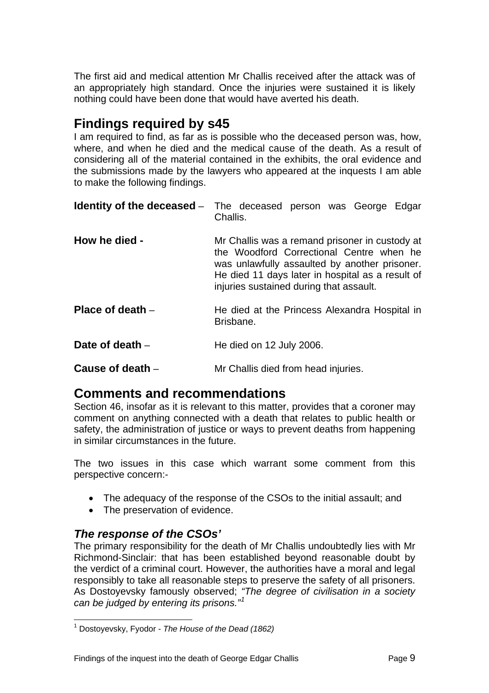<span id="page-10-0"></span>The first aid and medical attention Mr Challis received after the attack was of an appropriately high standard. Once the injuries were sustained it is likely nothing could have been done that would have averted his death.

# **Findings required by s45**

I am required to find, as far as is possible who the deceased person was, how, where, and when he died and the medical cause of the death. As a result of considering all of the material contained in the exhibits, the oral evidence and the submissions made by the lawyers who appeared at the inquests I am able to make the following findings.

|                    | <b>Identity of the deceased</b> - The deceased person was George Edgar<br>Challis.                                                                                                                                                         |
|--------------------|--------------------------------------------------------------------------------------------------------------------------------------------------------------------------------------------------------------------------------------------|
| How he died -      | Mr Challis was a remand prisoner in custody at<br>the Woodford Correctional Centre when he<br>was unlawfully assaulted by another prisoner.<br>He died 11 days later in hospital as a result of<br>injuries sustained during that assault. |
| Place of death $-$ | He died at the Princess Alexandra Hospital in<br>Brisbane.                                                                                                                                                                                 |
| Date of death $-$  | He died on 12 July 2006.                                                                                                                                                                                                                   |
| Cause of death $-$ | Mr Challis died from head injuries.                                                                                                                                                                                                        |

## **Comments and recommendations**

Section 46, insofar as it is relevant to this matter, provides that a coroner may comment on anything connected with a death that relates to public health or safety, the administration of justice or ways to prevent deaths from happening in similar circumstances in the future.

The two issues in this case which warrant some comment from this perspective concern:-

- The adequacy of the response of the CSOs to the initial assault; and
- The preservation of evidence.

## *The response of the CSOs'*

The primary responsibility for the death of Mr Challis undoubtedly lies with Mr Richmond-Sinclair: that has been established beyond reasonable doubt by the verdict of a criminal court. However, the authorities have a moral and legal responsibly to take all reasonable steps to preserve the safety of all prisoners. As Dostoyevsky famously observed; *"The degree of civilisation in a society can be judged by entering its prisons."[1](#page-10-1)*

<span id="page-10-1"></span> 1 Dostoyevsky, Fyodor - *The House of the Dead (1862)*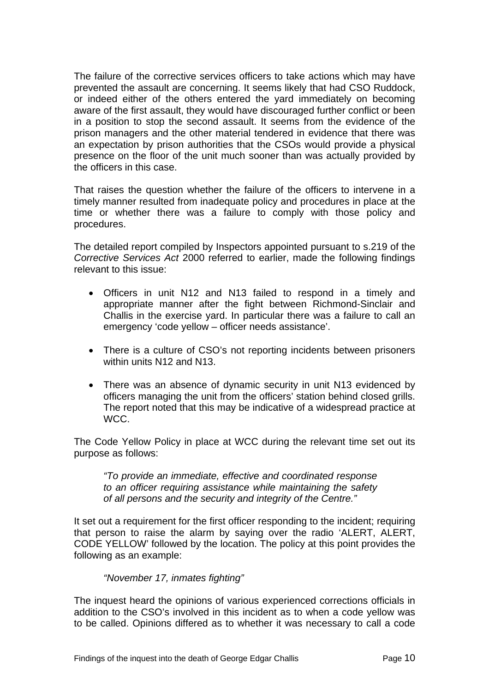The failure of the corrective services officers to take actions which may have prevented the assault are concerning. It seems likely that had CSO Ruddock, or indeed either of the others entered the yard immediately on becoming aware of the first assault, they would have discouraged further conflict or been in a position to stop the second assault. It seems from the evidence of the prison managers and the other material tendered in evidence that there was an expectation by prison authorities that the CSOs would provide a physical presence on the floor of the unit much sooner than was actually provided by the officers in this case.

That raises the question whether the failure of the officers to intervene in a timely manner resulted from inadequate policy and procedures in place at the time or whether there was a failure to comply with those policy and procedures.

The detailed report compiled by Inspectors appointed pursuant to s.219 of the *Corrective Services Act* 2000 referred to earlier, made the following findings relevant to this issue:

- Officers in unit N12 and N13 failed to respond in a timely and appropriate manner after the fight between Richmond-Sinclair and Challis in the exercise yard. In particular there was a failure to call an emergency 'code yellow – officer needs assistance'.
- There is a culture of CSO's not reporting incidents between prisoners within units N12 and N13.
- There was an absence of dynamic security in unit N13 evidenced by officers managing the unit from the officers' station behind closed grills. The report noted that this may be indicative of a widespread practice at WCC.

The Code Yellow Policy in place at WCC during the relevant time set out its purpose as follows:

*"To provide an immediate, effective and coordinated response to an officer requiring assistance while maintaining the safety of all persons and the security and integrity of the Centre."* 

It set out a requirement for the first officer responding to the incident; requiring that person to raise the alarm by saying over the radio 'ALERT, ALERT, CODE YELLOW' followed by the location. The policy at this point provides the following as an example:

#### *"November 17, inmates fighting"*

The inquest heard the opinions of various experienced corrections officials in addition to the CSO's involved in this incident as to when a code yellow was to be called. Opinions differed as to whether it was necessary to call a code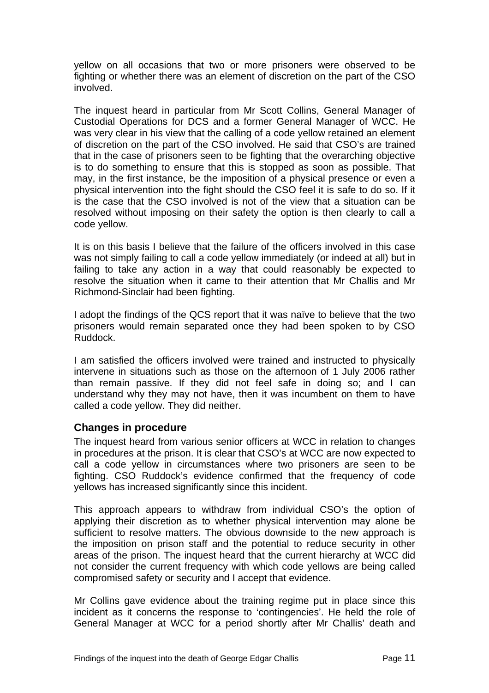<span id="page-12-0"></span>yellow on all occasions that two or more prisoners were observed to be fighting or whether there was an element of discretion on the part of the CSO involved.

The inquest heard in particular from Mr Scott Collins, General Manager of Custodial Operations for DCS and a former General Manager of WCC. He was very clear in his view that the calling of a code yellow retained an element of discretion on the part of the CSO involved. He said that CSO's are trained that in the case of prisoners seen to be fighting that the overarching objective is to do something to ensure that this is stopped as soon as possible. That may, in the first instance, be the imposition of a physical presence or even a physical intervention into the fight should the CSO feel it is safe to do so. If it is the case that the CSO involved is not of the view that a situation can be resolved without imposing on their safety the option is then clearly to call a code yellow.

It is on this basis I believe that the failure of the officers involved in this case was not simply failing to call a code yellow immediately (or indeed at all) but in failing to take any action in a way that could reasonably be expected to resolve the situation when it came to their attention that Mr Challis and Mr Richmond-Sinclair had been fighting.

I adopt the findings of the QCS report that it was naïve to believe that the two prisoners would remain separated once they had been spoken to by CSO Ruddock.

I am satisfied the officers involved were trained and instructed to physically intervene in situations such as those on the afternoon of 1 July 2006 rather than remain passive. If they did not feel safe in doing so; and I can understand why they may not have, then it was incumbent on them to have called a code yellow. They did neither.

#### **Changes in procedure**

The inquest heard from various senior officers at WCC in relation to changes in procedures at the prison. It is clear that CSO's at WCC are now expected to call a code yellow in circumstances where two prisoners are seen to be fighting. CSO Ruddock's evidence confirmed that the frequency of code yellows has increased significantly since this incident.

This approach appears to withdraw from individual CSO's the option of applying their discretion as to whether physical intervention may alone be sufficient to resolve matters. The obvious downside to the new approach is the imposition on prison staff and the potential to reduce security in other areas of the prison. The inquest heard that the current hierarchy at WCC did not consider the current frequency with which code yellows are being called compromised safety or security and I accept that evidence.

Mr Collins gave evidence about the training regime put in place since this incident as it concerns the response to 'contingencies'. He held the role of General Manager at WCC for a period shortly after Mr Challis' death and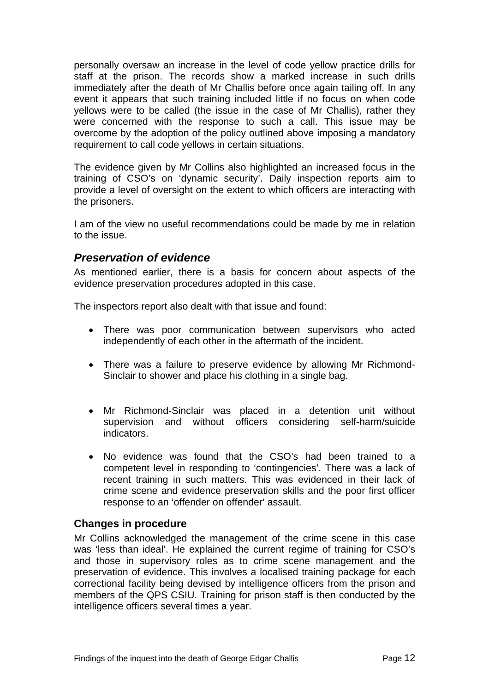<span id="page-13-0"></span>personally oversaw an increase in the level of code yellow practice drills for staff at the prison. The records show a marked increase in such drills immediately after the death of Mr Challis before once again tailing off. In any event it appears that such training included little if no focus on when code yellows were to be called (the issue in the case of Mr Challis), rather they were concerned with the response to such a call. This issue may be overcome by the adoption of the policy outlined above imposing a mandatory requirement to call code yellows in certain situations.

The evidence given by Mr Collins also highlighted an increased focus in the training of CSO's on 'dynamic security'. Daily inspection reports aim to provide a level of oversight on the extent to which officers are interacting with the prisoners.

I am of the view no useful recommendations could be made by me in relation to the issue.

#### *Preservation of evidence*

As mentioned earlier, there is a basis for concern about aspects of the evidence preservation procedures adopted in this case.

The inspectors report also dealt with that issue and found:

- There was poor communication between supervisors who acted independently of each other in the aftermath of the incident.
- There was a failure to preserve evidence by allowing Mr Richmond-Sinclair to shower and place his clothing in a single bag.
- Mr Richmond-Sinclair was placed in a detention unit without supervision and without officers considering self-harm/suicide indicators.
- No evidence was found that the CSO's had been trained to a competent level in responding to 'contingencies'. There was a lack of recent training in such matters. This was evidenced in their lack of crime scene and evidence preservation skills and the poor first officer response to an 'offender on offender' assault.

#### **Changes in procedure**

Mr Collins acknowledged the management of the crime scene in this case was 'less than ideal'. He explained the current regime of training for CSO's and those in supervisory roles as to crime scene management and the preservation of evidence. This involves a localised training package for each correctional facility being devised by intelligence officers from the prison and members of the QPS CSIU. Training for prison staff is then conducted by the intelligence officers several times a year.